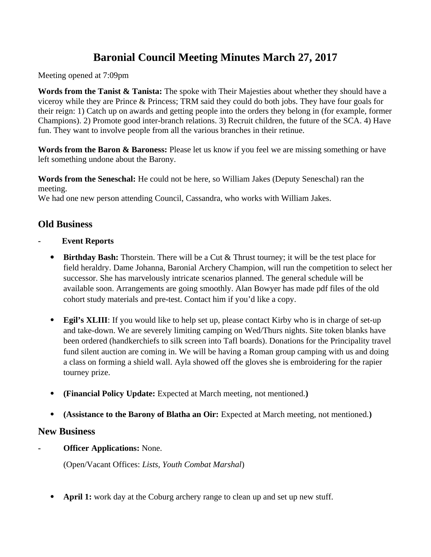# **Baronial Council Meeting Minutes March 27, 2017**

Meeting opened at 7:09pm

**Words from the Tanist & Tanista:** The spoke with Their Majesties about whether they should have a viceroy while they are Prince & Princess; TRM said they could do both jobs. They have four goals for their reign: 1) Catch up on awards and getting people into the orders they belong in (for example, former Champions). 2) Promote good inter-branch relations. 3) Recruit children, the future of the SCA. 4) Have fun. They want to involve people from all the various branches in their retinue.

**Words from the Baron & Baroness:** Please let us know if you feel we are missing something or have left something undone about the Barony.

**Words from the Seneschal:** He could not be here, so William Jakes (Deputy Seneschal) ran the meeting.

We had one new person attending Council, Cassandra, who works with William Jakes.

# **Old Business**

- **Event Reports**
	- **Birthday Bash:** Thorstein. There will be a Cut & Thrust tourney; it will be the test place for field heraldry. Dame Johanna, Baronial Archery Champion, will run the competition to select her successor. She has marvelously intricate scenarios planned. The general schedule will be available soon. Arrangements are going smoothly. Alan Bowyer has made pdf files of the old cohort study materials and pre-test. Contact him if you'd like a copy.
	- Egil's XLIII: If you would like to help set up, please contact Kirby who is in charge of set-up and take-down. We are severely limiting camping on Wed/Thurs nights. Site token blanks have been ordered (handkerchiefs to silk screen into Tafl boards). Donations for the Principality travel fund silent auction are coming in. We will be having a Roman group camping with us and doing a class on forming a shield wall. Ayla showed off the gloves she is embroidering for the rapier tourney prize.
	- **(Financial Policy Update:** Expected at March meeting, not mentioned.**)**
	- **(Assistance to the Barony of Blatha an Oir:** Expected at March meeting, not mentioned.**)**

### **New Business**

**- Officer Applications:** None.

(Open/Vacant Offices: *Lists, Youth Combat Marshal*)

**April 1:** work day at the Coburg archery range to clean up and set up new stuff.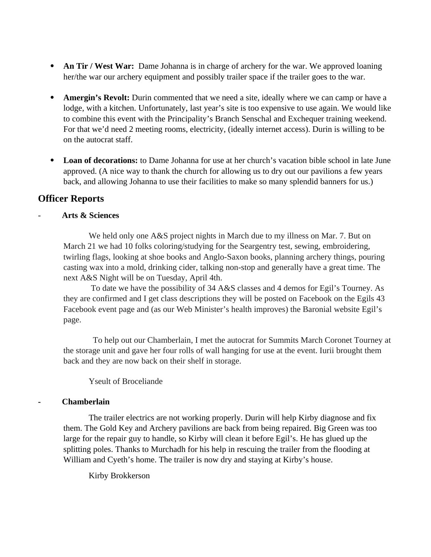- **An Tir / West War:** Dame Johanna is in charge of archery for the war. We approved loaning her/the war our archery equipment and possibly trailer space if the trailer goes to the war.
- **Amergin's Revolt:** Durin commented that we need a site, ideally where we can camp or have a lodge, with a kitchen. Unfortunately, last year's site is too expensive to use again. We would like to combine this event with the Principality's Branch Senschal and Exchequer training weekend. For that we'd need 2 meeting rooms, electricity, (ideally internet access). Durin is willing to be on the autocrat staff.
- **Loan of decorations:** to Dame Johanna for use at her church's vacation bible school in late June approved. (A nice way to thank the church for allowing us to dry out our pavilions a few years back, and allowing Johanna to use their facilities to make so many splendid banners for us.)

## **Officer Reports**

### - **Arts & Sciences**

We held only one A&S project nights in March due to my illness on Mar. 7. But on March 21 we had 10 folks coloring/studying for the Seargentry test, sewing, embroidering, twirling flags, looking at shoe books and Anglo-Saxon books, planning archery things, pouring casting wax into a mold, drinking cider, talking non-stop and generally have a great time. The next A&S Night will be on Tuesday, April 4th.

To date we have the possibility of 34 A&S classes and 4 demos for Egil's Tourney. As they are confirmed and I get class descriptions they will be posted on Facebook on the Egils 43 Facebook event page and (as our Web Minister's health improves) the Baronial website Egil's page.

To help out our Chamberlain, I met the autocrat for Summits March Coronet Tourney at the storage unit and gave her four rolls of wall hanging for use at the event. Iurii brought them back and they are now back on their shelf in storage.

Yseult of Broceliande

### **- Chamberlain**

The trailer electrics are not working properly. Durin will help Kirby diagnose and fix them. The Gold Key and Archery pavilions are back from being repaired. Big Green was too large for the repair guy to handle, so Kirby will clean it before Egil's. He has glued up the splitting poles. Thanks to Murchadh for his help in rescuing the trailer from the flooding at William and Cyeth's home. The trailer is now dry and staying at Kirby's house.

Kirby Brokkerson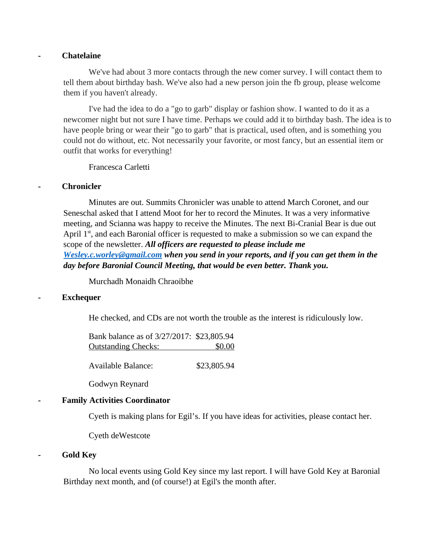#### **- Chatelaine**

We've had about 3 more contacts through the new comer survey. I will contact them to tell them about birthday bash. We've also had a new person join the fb group, please welcome them if you haven't already.

I've had the idea to do a "go to garb" display or fashion show. I wanted to do it as a newcomer night but not sure I have time. Perhaps we could add it to birthday bash. The idea is to have people bring or wear their "go to garb" that is practical, used often, and is something you could not do without, etc. Not necessarily your favorite, or most fancy, but an essential item or outfit that works for everything!

Francesca Carletti

#### **- Chronicler**

Minutes are out. Summits Chronicler was unable to attend March Coronet, and our Seneschal asked that I attend Moot for her to record the Minutes. It was a very informative meeting, and Scianna was happy to receive the Minutes. The next Bi-Cranial Bear is due out April  $1<sup>st</sup>$ , and each Baronial officer is requested to make a submission so we can expand the scope of the newsletter. *All officers are requested to please include me [Wesley.c.worley@gmail.com](mailto:Wesley.c.worley@gmail.com) when you send in your reports, and if you can get them in the day before Baronial Council Meeting, that would be even better. Thank you.*

Murchadh Monaidh Chraoibhe

#### **- Exchequer**

He checked, and CDs are not worth the trouble as the interest is ridiculously low.

Bank balance as of 3/27/2017: \$23,805.94 Outstanding Checks: \$0.00

Available Balance: \$23,805.94

Godwyn Reynard

#### **- Family Activities Coordinator**

Cyeth is making plans for Egil's. If you have ideas for activities, please contact her.

Cyeth deWestcote

#### **- Gold Key**

No local events using Gold Key since my last report. I will have Gold Key at Baronial Birthday next month, and (of course!) at Egil's the month after.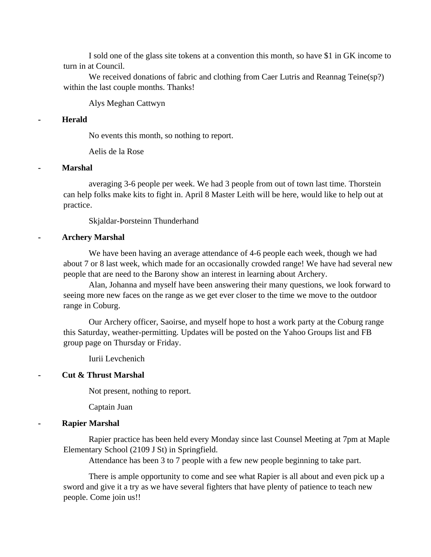I sold one of the glass site tokens at a convention this month, so have \$1 in GK income to turn in at Council.

We received donations of fabric and clothing from Caer Lutris and Reannag Teine(sp?) within the last couple months. Thanks!

Alys Meghan Cattwyn

#### **- Herald**

No events this month, so nothing to report.

Aelis de la Rose

#### **- Marshal**

averaging 3-6 people per week. We had 3 people from out of town last time. Thorstein can help folks make kits to fight in. April 8 Master Leith will be here, would like to help out at practice.

Skjaldar-Þorsteinn Thunderhand

#### **- Archery Marshal**

We have been having an average attendance of 4-6 people each week, though we had about 7 or 8 last week, which made for an occasionally crowded range! We have had several new people that are need to the Barony show an interest in learning about Archery.

Alan, Johanna and myself have been answering their many questions, we look forward to seeing more new faces on the range as we get ever closer to the time we move to the outdoor range in Coburg.

Our Archery officer, Saoirse, and myself hope to host a work party at the Coburg range this Saturday, weather-permitting. Updates will be posted on the Yahoo Groups list and FB group page on Thursday or Friday.

Iurii Levchenich

#### **- Cut & Thrust Marshal**

Not present, nothing to report.

Captain Juan

#### **- Rapier Marshal**

Rapier practice has been held every Monday since last Counsel Meeting at 7pm at Maple Elementary School (2109 J St) in Springfield.

Attendance has been 3 to 7 people with a few new people beginning to take part.

There is ample opportunity to come and see what Rapier is all about and even pick up a sword and give it a try as we have several fighters that have plenty of patience to teach new people. Come join us!!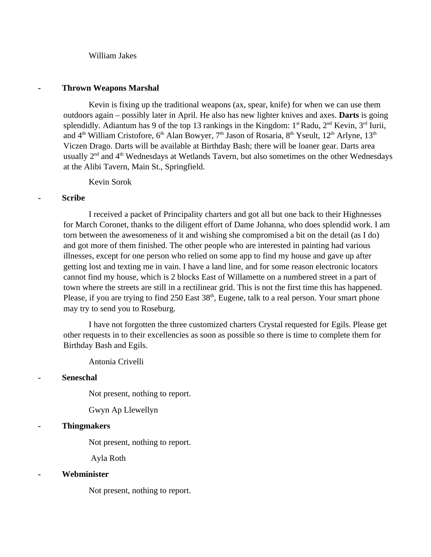#### William Jakes

#### **- Thrown Weapons Marshal**

Kevin is fixing up the traditional weapons (ax, spear, knife) for when we can use them outdoors again – possibly later in April. He also has new lighter knives and axes. **Darts** is going splendidly. Adiantum has 9 of the top 13 rankings in the Kingdom:  $1<sup>st</sup>$  Radu,  $2<sup>nd</sup>$  Kevin,  $3<sup>rd</sup>$  Iurii, and  $4<sup>th</sup>$  William Cristofore,  $6<sup>th</sup>$  Alan Bowyer,  $7<sup>th</sup>$  Jason of Rosaria,  $8<sup>th</sup>$  Yseult,  $12<sup>th</sup>$  Arlyne,  $13<sup>th</sup>$ Viczen Drago. Darts will be available at Birthday Bash; there will be loaner gear. Darts area usually  $2<sup>nd</sup>$  and  $4<sup>th</sup>$  Wednesdays at Wetlands Tavern, but also sometimes on the other Wednesdays at the Alibi Tavern, Main St., Springfield.

Kevin Sorok

#### **- Scribe**

I received a packet of Principality charters and got all but one back to their Highnesses for March Coronet, thanks to the diligent effort of Dame Johanna, who does splendid work. I am torn between the awesomeness of it and wishing she compromised a bit on the detail (as I do) and got more of them finished. The other people who are interested in painting had various illnesses, except for one person who relied on some app to find my house and gave up after getting lost and texting me in vain. I have a land line, and for some reason electronic locators cannot find my house, which is 2 blocks East of Willamette on a numbered street in a part of town where the streets are still in a rectilinear grid. This is not the first time this has happened. Please, if you are trying to find 250 East  $38<sup>th</sup>$ , Eugene, talk to a real person. Your smart phone may try to send you to Roseburg.

I have not forgotten the three customized charters Crystal requested for Egils. Please get other requests in to their excellencies as soon as possible so there is time to complete them for Birthday Bash and Egils.

Antonia Crivelli

#### **- Seneschal**

Not present, nothing to report.

Gwyn Ap Llewellyn

#### **- Thingmakers**

Not present, nothing to report.

Ayla Roth

#### **- Webminister**

Not present, nothing to report.